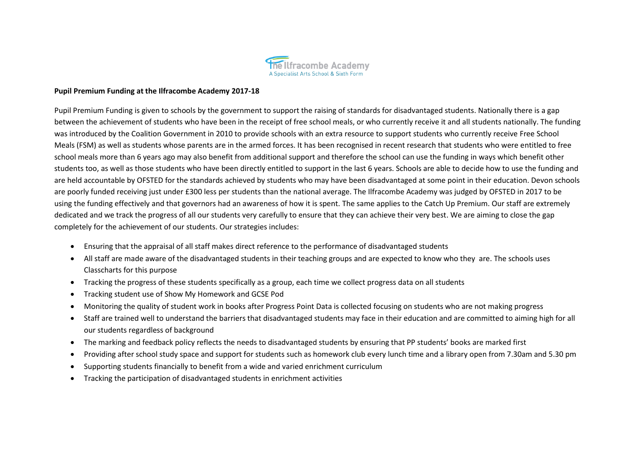

# **Pupil Premium Funding at the Ilfracombe Academy 2017-18**

Pupil Premium Funding is given to schools by the government to support the raising of standards for disadvantaged students. Nationally there is a gap between the achievement of students who have been in the receipt of free school meals, or who currently receive it and all students nationally. The funding was introduced by the Coalition Government in 2010 to provide schools with an extra resource to support students who currently receive Free School Meals (FSM) as well as students whose parents are in the armed forces. It has been recognised in recent research that students who were entitled to free school meals more than 6 years ago may also benefit from additional support and therefore the school can use the funding in ways which benefit other students too, as well as those students who have been directly entitled to support in the last 6 years. Schools are able to decide how to use the funding and are held accountable by OFSTED for the standards achieved by students who may have been disadvantaged at some point in their education. Devon schools are poorly funded receiving just under £300 less per students than the national average. The Ilfracombe Academy was judged by OFSTED in 2017 to be using the funding effectively and that governors had an awareness of how it is spent. The same applies to the Catch Up Premium. Our staff are extremely dedicated and we track the progress of all our students very carefully to ensure that they can achieve their very best. We are aiming to close the gap completely for the achievement of our students. Our strategies includes:

- Ensuring that the appraisal of all staff makes direct reference to the performance of disadvantaged students
- All staff are made aware of the disadvantaged students in their teaching groups and are expected to know who they are. The schools uses Classcharts for this purpose
- Tracking the progress of these students specifically as a group, each time we collect progress data on all students
- Tracking student use of Show My Homework and GCSE Pod
- Monitoring the quality of student work in books after Progress Point Data is collected focusing on students who are not making progress
- Staff are trained well to understand the barriers that disadvantaged students may face in their education and are committed to aiming high for all our students regardless of background
- The marking and feedback policy reflects the needs to disadvantaged students by ensuring that PP students' books are marked first
- Providing after school study space and support for students such as homework club every lunch time and a library open from 7.30am and 5.30 pm
- Supporting students financially to benefit from a wide and varied enrichment curriculum
- Tracking the participation of disadvantaged students in enrichment activities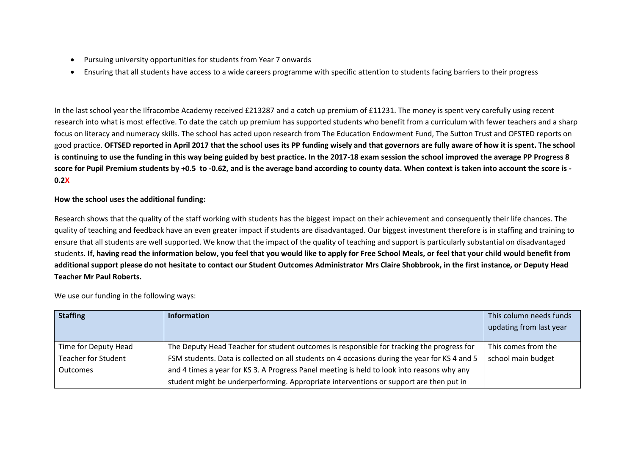- Pursuing university opportunities for students from Year 7 onwards
- Ensuring that all students have access to a wide careers programme with specific attention to students facing barriers to their progress

In the last school year the Ilfracombe Academy received £213287 and a catch up premium of £11231. The money is spent very carefully using recent research into what is most effective. To date the catch up premium has supported students who benefit from a curriculum with fewer teachers and a sharp focus on literacy and numeracy skills. The school has acted upon research from The Education Endowment Fund, The Sutton Trust and OFSTED reports on good practice. **OFTSED reported in April 2017 that the school uses its PP funding wisely and that governors are fully aware of how it is spent. The school is continuing to use the funding in this way being guided by best practice. In the 2017-18 exam session the school improved the average PP Progress 8 score for Pupil Premium students by +0.5 to -0.62, and is the average band according to county data. When context is taken into account the score is - 0.2X**

## **How the school uses the additional funding:**

Research shows that the quality of the staff working with students has the biggest impact on their achievement and consequently their life chances. The quality of teaching and feedback have an even greater impact if students are disadvantaged. Our biggest investment therefore is in staffing and training to ensure that all students are well supported. We know that the impact of the quality of teaching and support is particularly substantial on disadvantaged students. **If, having read the information below, you feel that you would like to apply for Free School Meals, or feel that your child would benefit from additional support please do not hesitate to contact our Student Outcomes Administrator Mrs Claire Shobbrook, in the first instance, or Deputy Head Teacher Mr Paul Roberts.**

We use our funding in the following ways:

| <b>Staffing</b>            | Information                                                                                   | This column needs funds |
|----------------------------|-----------------------------------------------------------------------------------------------|-------------------------|
|                            |                                                                                               | updating from last year |
|                            |                                                                                               |                         |
| Time for Deputy Head       | The Deputy Head Teacher for student outcomes is responsible for tracking the progress for     | This comes from the     |
| <b>Teacher for Student</b> | FSM students. Data is collected on all students on 4 occasions during the year for KS 4 and 5 | school main budget      |
| <b>Outcomes</b>            | and 4 times a year for KS 3. A Progress Panel meeting is held to look into reasons why any    |                         |
|                            | student might be underperforming. Appropriate interventions or support are then put in        |                         |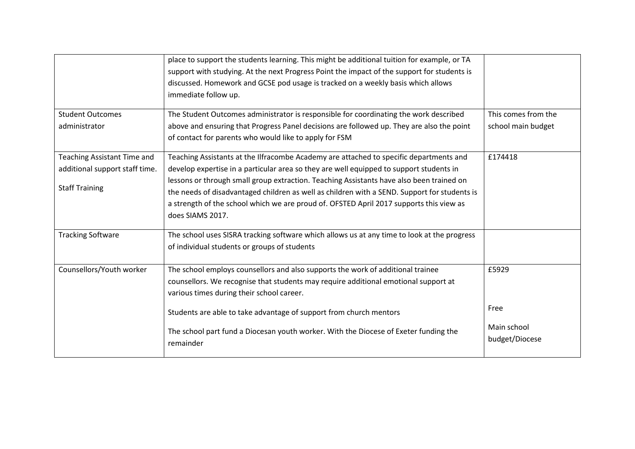|                                | place to support the students learning. This might be additional tuition for example, or TA<br>support with studying. At the next Progress Point the impact of the support for students is<br>discussed. Homework and GCSE pod usage is tracked on a weekly basis which allows<br>immediate follow up. |                               |
|--------------------------------|--------------------------------------------------------------------------------------------------------------------------------------------------------------------------------------------------------------------------------------------------------------------------------------------------------|-------------------------------|
| <b>Student Outcomes</b>        | The Student Outcomes administrator is responsible for coordinating the work described                                                                                                                                                                                                                  | This comes from the           |
| administrator                  | above and ensuring that Progress Panel decisions are followed up. They are also the point                                                                                                                                                                                                              | school main budget            |
|                                | of contact for parents who would like to apply for FSM                                                                                                                                                                                                                                                 |                               |
| Teaching Assistant Time and    | Teaching Assistants at the Ilfracombe Academy are attached to specific departments and                                                                                                                                                                                                                 | £174418                       |
| additional support staff time. | develop expertise in a particular area so they are well equipped to support students in                                                                                                                                                                                                                |                               |
| <b>Staff Training</b>          | lessons or through small group extraction. Teaching Assistants have also been trained on<br>the needs of disadvantaged children as well as children with a SEND. Support for students is                                                                                                               |                               |
|                                | a strength of the school which we are proud of. OFSTED April 2017 supports this view as                                                                                                                                                                                                                |                               |
|                                | does SIAMS 2017.                                                                                                                                                                                                                                                                                       |                               |
| <b>Tracking Software</b>       | The school uses SISRA tracking software which allows us at any time to look at the progress                                                                                                                                                                                                            |                               |
|                                | of individual students or groups of students                                                                                                                                                                                                                                                           |                               |
| Counsellors/Youth worker       | The school employs counsellors and also supports the work of additional trainee                                                                                                                                                                                                                        | £5929                         |
|                                | counsellors. We recognise that students may require additional emotional support at<br>various times during their school career.                                                                                                                                                                       |                               |
|                                | Students are able to take advantage of support from church mentors                                                                                                                                                                                                                                     | Free                          |
|                                | The school part fund a Diocesan youth worker. With the Diocese of Exeter funding the<br>remainder                                                                                                                                                                                                      | Main school<br>budget/Diocese |
|                                |                                                                                                                                                                                                                                                                                                        |                               |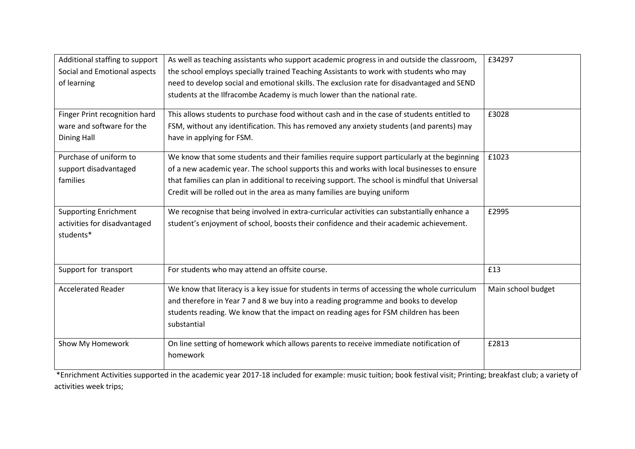| Additional staffing to support<br>Social and Emotional aspects | As well as teaching assistants who support academic progress in and outside the classroom,<br>the school employs specially trained Teaching Assistants to work with students who may | £34297             |
|----------------------------------------------------------------|--------------------------------------------------------------------------------------------------------------------------------------------------------------------------------------|--------------------|
| of learning                                                    | need to develop social and emotional skills. The exclusion rate for disadvantaged and SEND                                                                                           |                    |
|                                                                | students at the Ilfracombe Academy is much lower than the national rate.                                                                                                             |                    |
| Finger Print recognition hard                                  | This allows students to purchase food without cash and in the case of students entitled to                                                                                           | £3028              |
| ware and software for the                                      | FSM, without any identification. This has removed any anxiety students (and parents) may                                                                                             |                    |
| <b>Dining Hall</b>                                             | have in applying for FSM.                                                                                                                                                            |                    |
| Purchase of uniform to                                         | We know that some students and their families require support particularly at the beginning                                                                                          | £1023              |
| support disadvantaged                                          | of a new academic year. The school supports this and works with local businesses to ensure                                                                                           |                    |
| families                                                       | that families can plan in additional to receiving support. The school is mindful that Universal                                                                                      |                    |
|                                                                | Credit will be rolled out in the area as many families are buying uniform                                                                                                            |                    |
| <b>Supporting Enrichment</b>                                   | We recognise that being involved in extra-curricular activities can substantially enhance a                                                                                          | £2995              |
| activities for disadvantaged                                   | student's enjoyment of school, boosts their confidence and their academic achievement.                                                                                               |                    |
| students*                                                      |                                                                                                                                                                                      |                    |
|                                                                |                                                                                                                                                                                      |                    |
| Support for transport                                          | For students who may attend an offsite course.                                                                                                                                       | £13                |
| <b>Accelerated Reader</b>                                      | We know that literacy is a key issue for students in terms of accessing the whole curriculum                                                                                         | Main school budget |
|                                                                | and therefore in Year 7 and 8 we buy into a reading programme and books to develop                                                                                                   |                    |
|                                                                | students reading. We know that the impact on reading ages for FSM children has been                                                                                                  |                    |
|                                                                | substantial                                                                                                                                                                          |                    |
| Show My Homework                                               | On line setting of homework which allows parents to receive immediate notification of                                                                                                | £2813              |
|                                                                | homework                                                                                                                                                                             |                    |

\*Enrichment Activities supported in the academic year 2017-18 included for example: music tuition; book festival visit; Printing; breakfast club; a variety of activities week trips;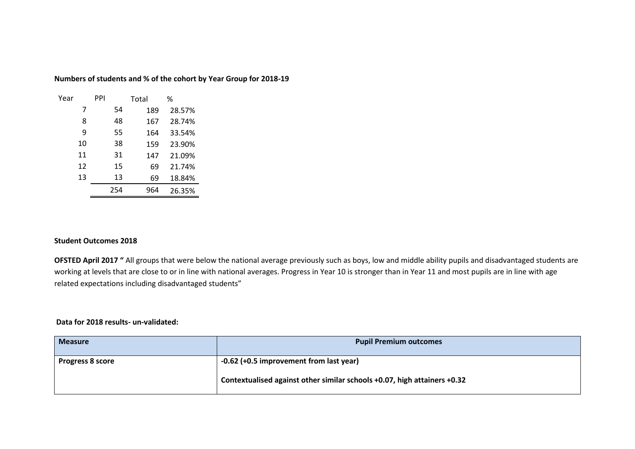## **Numbers of students and % of the cohort by Year Group for 2018-19**

| Year |    | PPI |    | Total |     | %      |
|------|----|-----|----|-------|-----|--------|
|      | 7  |     | 54 |       | 189 | 28.57% |
|      | 8  |     | 48 |       | 167 | 28.74% |
|      | 9  |     | 55 |       | 164 | 33.54% |
|      | 10 |     | 38 |       | 159 | 23.90% |
|      | 11 |     | 31 |       | 147 | 21.09% |
|      | 12 |     | 15 |       | 69  | 21.74% |
|      | 13 |     | 13 |       | 69  | 18.84% |
|      |    | 254 |    |       | 964 | 26.35% |

## **Student Outcomes 2018**

**OFSTED April 2017** " All groups that were below the national average previously such as boys, low and middle ability pupils and disadvantaged students are working at levels that are close to or in line with national averages. Progress in Year 10 is stronger than in Year 11 and most pupils are in line with age related expectations including disadvantaged students"

## **Data for 2018 results- un-validated:**

| <b>Measure</b>          | <b>Pupil Premium outcomes</b>                                            |
|-------------------------|--------------------------------------------------------------------------|
| <b>Progress 8 score</b> | $-0.62$ (+0.5 improvement from last year)                                |
|                         | Contextualised against other similar schools +0.07, high attainers +0.32 |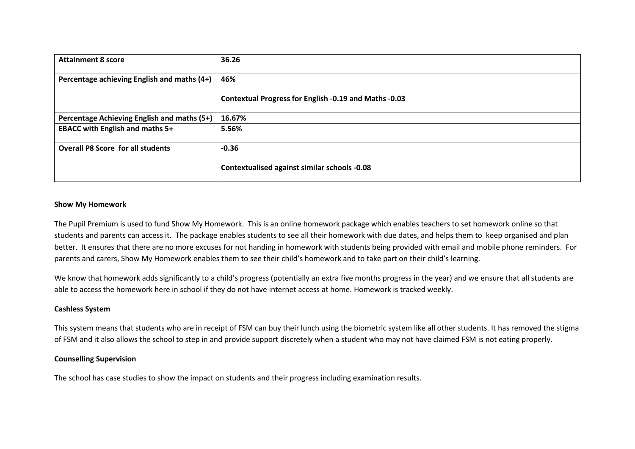| <b>Attainment 8 score</b>                   | 36.26                                                 |
|---------------------------------------------|-------------------------------------------------------|
| Percentage achieving English and maths (4+) | 46%                                                   |
|                                             | Contextual Progress for English -0.19 and Maths -0.03 |
| Percentage Achieving English and maths (5+) | 16.67%                                                |
| <b>EBACC with English and maths 5+</b>      | 5.56%                                                 |
| <b>Overall P8 Score for all students</b>    | $-0.36$                                               |
|                                             | Contextualised against similar schools -0.08          |

## **Show My Homework**

The Pupil Premium is used to fund Show My Homework. This is an online homework package which enables teachers to set homework online so that students and parents can access it. The package enables students to see all their homework with due dates, and helps them to keep organised and plan better. It ensures that there are no more excuses for not handing in homework with students being provided with email and mobile phone reminders. For parents and carers, Show My Homework enables them to see their child's homework and to take part on their child's learning.

We know that homework adds significantly to a child's progress (potentially an extra five months progress in the year) and we ensure that all students are able to access the homework here in school if they do not have internet access at home. Homework is tracked weekly.

## **Cashless System**

This system means that students who are in receipt of FSM can buy their lunch using the biometric system like all other students. It has removed the stigma of FSM and it also allows the school to step in and provide support discretely when a student who may not have claimed FSM is not eating properly.

### **Counselling Supervision**

The school has case studies to show the impact on students and their progress including examination results.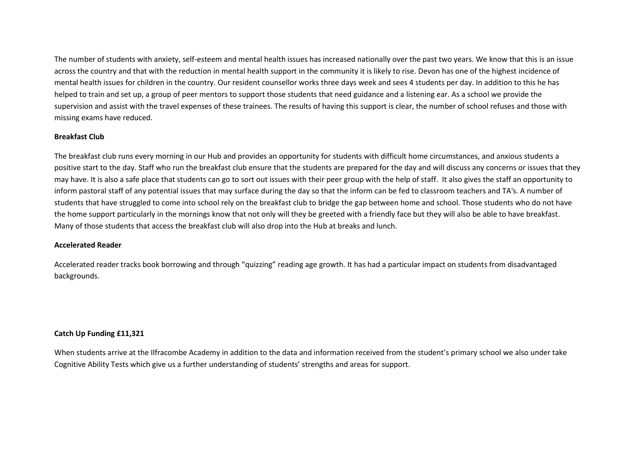The number of students with anxiety, self-esteem and mental health issues has increased nationally over the past two years. We know that this is an issue across the country and that with the reduction in mental health support in the community it is likely to rise. Devon has one of the highest incidence of mental health issues for children in the country. Our resident counsellor works three days week and sees 4 students per day. In addition to this he has helped to train and set up, a group of peer mentors to support those students that need guidance and a listening ear. As a school we provide the supervision and assist with the travel expenses of these trainees. The results of having this support is clear, the number of school refuses and those with missing exams have reduced.

### **Breakfast Club**

The breakfast club runs every morning in our Hub and provides an opportunity for students with difficult home circumstances, and anxious students a positive start to the day. Staff who run the breakfast club ensure that the students are prepared for the day and will discuss any concerns or issues that they may have. It is also a safe place that students can go to sort out issues with their peer group with the help of staff. It also gives the staff an opportunity to inform pastoral staff of any potential issues that may surface during the day so that the inform can be fed to classroom teachers and TA's. A number of students that have struggled to come into school rely on the breakfast club to bridge the gap between home and school. Those students who do not have the home support particularly in the mornings know that not only will they be greeted with a friendly face but they will also be able to have breakfast. Many of those students that access the breakfast club will also drop into the Hub at breaks and lunch.

### **Accelerated Reader**

Accelerated reader tracks book borrowing and through "quizzing" reading age growth. It has had a particular impact on students from disadvantaged backgrounds.

### **Catch Up Funding £11,321**

When students arrive at the Ilfracombe Academy in addition to the data and information received from the student's primary school we also under take Cognitive Ability Tests which give us a further understanding of students' strengths and areas for support.